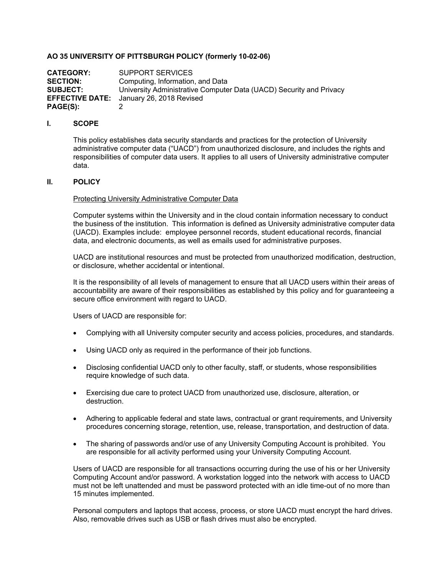# **AO 35 UNIVERSITY OF PITTSBURGH POLICY (formerly 10-02-06)**

**CATEGORY:** SUPPORT SERVICES<br>**SECTION:** Computing Information **SECTION:** Computing, Information, and Data<br>**SUBJECT:** University Administrative Compute **SUBJECT:** University Administrative Computer Data (UACD) Security and Privacy **EFFECTIVE DATE:** January 26, 2018 Revised **PAGE(S):** 2

## **I. SCOPE**

This policy establishes data security standards and practices for the protection of University administrative computer data ("UACD") from unauthorized disclosure, and includes the rights and responsibilities of computer data users. It applies to all users of University administrative computer data.

## **II. POLICY**

#### Protecting University Administrative Computer Data

Computer systems within the University and in the cloud contain information necessary to conduct the business of the institution. This information is defined as University administrative computer data (UACD). Examples include: employee personnel records, student educational records, financial data, and electronic documents, as well as emails used for administrative purposes.

UACD are institutional resources and must be protected from unauthorized modification, destruction, or disclosure, whether accidental or intentional.

It is the responsibility of all levels of management to ensure that all UACD users within their areas of accountability are aware of their responsibilities as established by this policy and for guaranteeing a secure office environment with regard to UACD.

Users of UACD are responsible for:

- Complying with all University computer security and access policies, procedures, and standards.
- Using UACD only as required in the performance of their job functions.
- Disclosing confidential UACD only to other faculty, staff, or students, whose responsibilities require knowledge of such data.
- Exercising due care to protect UACD from unauthorized use, disclosure, alteration, or destruction.
- Adhering to applicable federal and state laws, contractual or grant requirements, and University procedures concerning storage, retention, use, release, transportation, and destruction of data.
- The sharing of passwords and/or use of any University Computing Account is prohibited. You are responsible for all activity performed using your University Computing Account.

Users of UACD are responsible for all transactions occurring during the use of his or her University Computing Account and/or password. A workstation logged into the network with access to UACD must not be left unattended and must be password protected with an idle time-out of no more than 15 minutes implemented.

Personal computers and laptops that access, process, or store UACD must encrypt the hard drives. Also, removable drives such as USB or flash drives must also be encrypted.